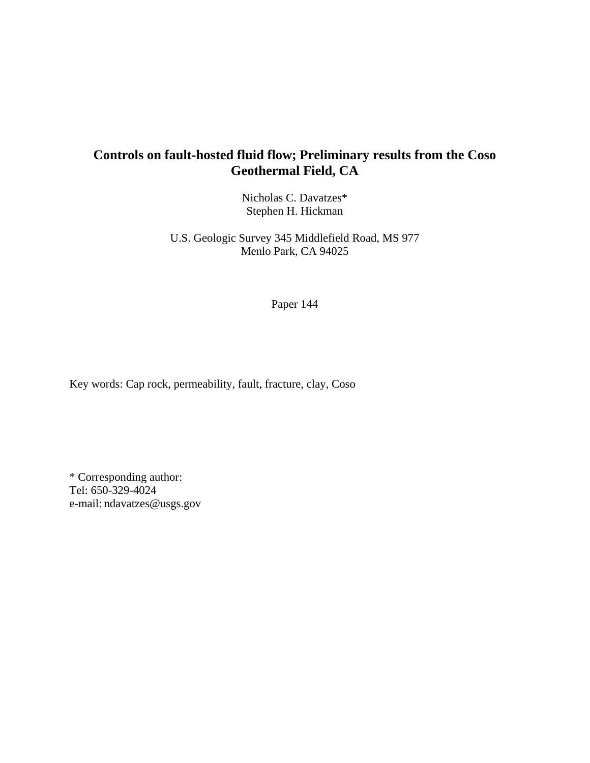# **Controls on fault-hosted fluid flow; Preliminary results from the Coso Geothermal Field, CA**

Nicholas C. Davatzes\* Stephen H. Hickman

U.S. Geologic Survey 345 Middlefield Road, MS 977 Menlo Park, CA 94025

Paper 144

Key words: Cap rock, permeability, fault, fracture, clay, Coso

\* Corresponding author: Tel: 650-329-4024 e-mail: ndavatzes@usgs.gov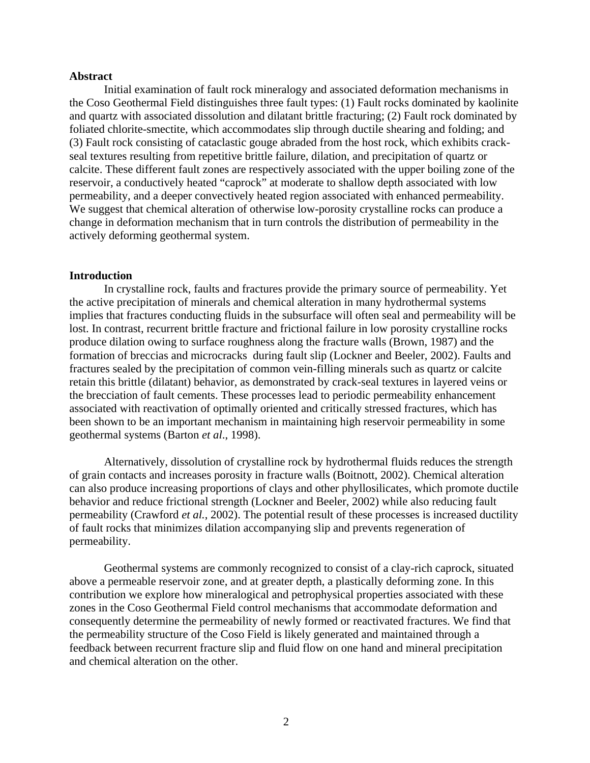#### **Abstract**

Initial examination of fault rock mineralogy and associated deformation mechanisms in the Coso Geothermal Field distinguishes three fault types: (1) Fault rocks dominated by kaolinite and quartz with associated dissolution and dilatant brittle fracturing; (2) Fault rock dominated by foliated chlorite-smectite, which accommodates slip through ductile shearing and folding; and (3) Fault rock consisting of cataclastic gouge abraded from the host rock, which exhibits crackseal textures resulting from repetitive brittle failure, dilation, and precipitation of quartz or calcite. These different fault zones are respectively associated with the upper boiling zone of the reservoir, a conductively heated "caprock" at moderate to shallow depth associated with low permeability, and a deeper convectively heated region associated with enhanced permeability. We suggest that chemical alteration of otherwise low-porosity crystalline rocks can produce a change in deformation mechanism that in turn controls the distribution of permeability in the actively deforming geothermal system.

#### **Introduction**

In crystalline rock, faults and fractures provide the primary source of permeability. Yet the active precipitation of minerals and chemical alteration in many hydrothermal systems implies that fractures conducting fluids in the subsurface will often seal and permeability will be lost. In contrast, recurrent brittle fracture and frictional failure in low porosity crystalline rocks produce dilation owing to surface roughness along the fracture walls (Brown, 1987) and the formation of breccias and microcracks during fault slip (Lockner and Beeler, 2002). Faults and fractures sealed by the precipitation of common vein-filling minerals such as quartz or calcite retain this brittle (dilatant) behavior, as demonstrated by crack-seal textures in layered veins or the brecciation of fault cements. These processes lead to periodic permeability enhancement associated with reactivation of optimally oriented and critically stressed fractures, which has been shown to be an important mechanism in maintaining high reservoir permeability in some geothermal systems (Barton *et al*., 1998).

Alternatively, dissolution of crystalline rock by hydrothermal fluids reduces the strength of grain contacts and increases porosity in fracture walls (Boitnott, 2002). Chemical alteration can also produce increasing proportions of clays and other phyllosilicates, which promote ductile behavior and reduce frictional strength (Lockner and Beeler, 2002) while also reducing fault permeability (Crawford *et al.*, 2002). The potential result of these processes is increased ductility of fault rocks that minimizes dilation accompanying slip and prevents regeneration of permeability.

Geothermal systems are commonly recognized to consist of a clay-rich caprock, situated above a permeable reservoir zone, and at greater depth, a plastically deforming zone. In this contribution we explore how mineralogical and petrophysical properties associated with these zones in the Coso Geothermal Field control mechanisms that accommodate deformation and consequently determine the permeability of newly formed or reactivated fractures. We find that the permeability structure of the Coso Field is likely generated and maintained through a feedback between recurrent fracture slip and fluid flow on one hand and mineral precipitation and chemical alteration on the other.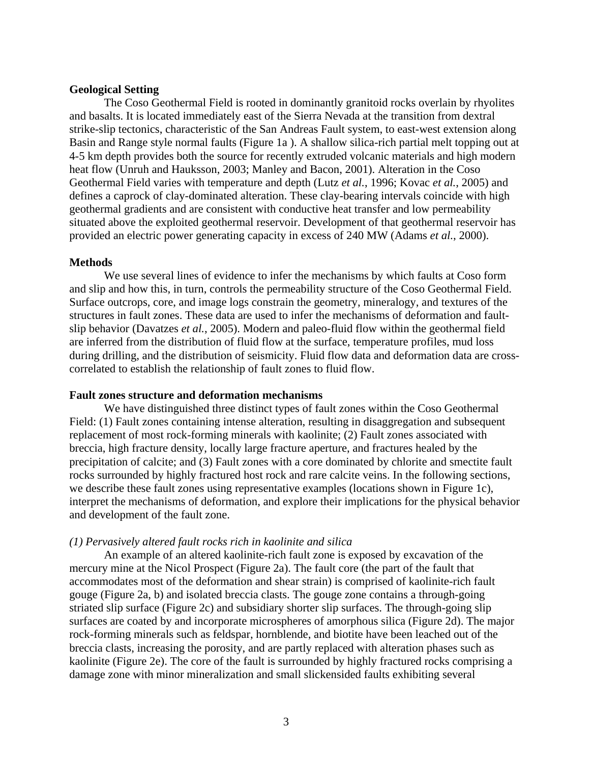# **Geological Setting**

The Coso Geothermal Field is rooted in dominantly granitoid rocks overlain by rhyolites and basalts. It is located immediately east of the Sierra Nevada at the transition from dextral strike-slip tectonics, characteristic of the San Andreas Fault system, to east-west extension along Basin and Range style normal faults (Figure 1a ). A shallow silica-rich partial melt topping out at 4-5 km depth provides both the source for recently extruded volcanic materials and high modern heat flow (Unruh and Hauksson, 2003; Manley and Bacon, 2001). Alteration in the Coso Geothermal Field varies with temperature and depth (Lutz *et al.*, 1996; Kovac *et al.*, 2005) and defines a caprock of clay-dominated alteration. These clay-bearing intervals coincide with high geothermal gradients and are consistent with conductive heat transfer and low permeability situated above the exploited geothermal reservoir. Development of that geothermal reservoir has provided an electric power generating capacity in excess of 240 MW (Adams *et al.*, 2000).

#### **Methods**

We use several lines of evidence to infer the mechanisms by which faults at Coso form and slip and how this, in turn, controls the permeability structure of the Coso Geothermal Field. Surface outcrops, core, and image logs constrain the geometry, mineralogy, and textures of the structures in fault zones. These data are used to infer the mechanisms of deformation and faultslip behavior (Davatzes *et al.*, 2005). Modern and paleo-fluid flow within the geothermal field are inferred from the distribution of fluid flow at the surface, temperature profiles, mud loss during drilling, and the distribution of seismicity. Fluid flow data and deformation data are crosscorrelated to establish the relationship of fault zones to fluid flow.

# **Fault zones structure and deformation mechanisms**

We have distinguished three distinct types of fault zones within the Coso Geothermal Field: (1) Fault zones containing intense alteration, resulting in disaggregation and subsequent replacement of most rock-forming minerals with kaolinite; (2) Fault zones associated with breccia, high fracture density, locally large fracture aperture, and fractures healed by the precipitation of calcite; and (3) Fault zones with a core dominated by chlorite and smectite fault rocks surrounded by highly fractured host rock and rare calcite veins. In the following sections, we describe these fault zones using representative examples (locations shown in Figure 1c), interpret the mechanisms of deformation, and explore their implications for the physical behavior and development of the fault zone.

#### *(1) Pervasively altered fault rocks rich in kaolinite and silica*

An example of an altered kaolinite-rich fault zone is exposed by excavation of the mercury mine at the Nicol Prospect (Figure 2a). The fault core (the part of the fault that accommodates most of the deformation and shear strain) is comprised of kaolinite-rich fault gouge (Figure 2a, b) and isolated breccia clasts. The gouge zone contains a through-going striated slip surface (Figure 2c) and subsidiary shorter slip surfaces. The through-going slip surfaces are coated by and incorporate microspheres of amorphous silica (Figure 2d). The major rock-forming minerals such as feldspar, hornblende, and biotite have been leached out of the breccia clasts, increasing the porosity, and are partly replaced with alteration phases such as kaolinite (Figure 2e). The core of the fault is surrounded by highly fractured rocks comprising a damage zone with minor mineralization and small slickensided faults exhibiting several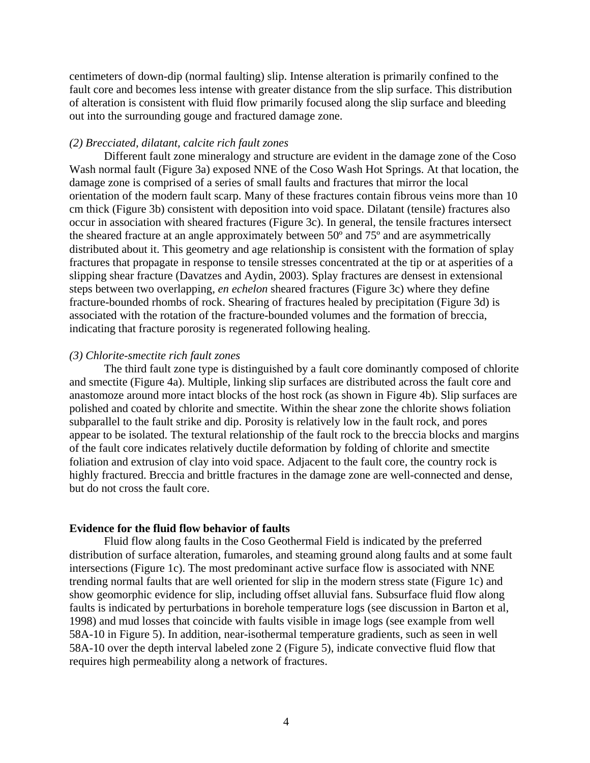centimeters of down-dip (normal faulting) slip. Intense alteration is primarily confined to the fault core and becomes less intense with greater distance from the slip surface. This distribution of alteration is consistent with fluid flow primarily focused along the slip surface and bleeding out into the surrounding gouge and fractured damage zone.

#### *(2) Brecciated, dilatant, calcite rich fault zones*

Different fault zone mineralogy and structure are evident in the damage zone of the Coso Wash normal fault (Figure 3a) exposed NNE of the Coso Wash Hot Springs. At that location, the damage zone is comprised of a series of small faults and fractures that mirror the local orientation of the modern fault scarp. Many of these fractures contain fibrous veins more than 10 cm thick (Figure 3b) consistent with deposition into void space. Dilatant (tensile) fractures also occur in association with sheared fractures (Figure 3c). In general, the tensile fractures intersect the sheared fracture at an angle approximately between 50º and 75º and are asymmetrically distributed about it. This geometry and age relationship is consistent with the formation of splay fractures that propagate in response to tensile stresses concentrated at the tip or at asperities of a slipping shear fracture (Davatzes and Aydin, 2003). Splay fractures are densest in extensional steps between two overlapping, *en echelon* sheared fractures (Figure 3c) where they define fracture-bounded rhombs of rock. Shearing of fractures healed by precipitation (Figure 3d) is associated with the rotation of the fracture-bounded volumes and the formation of breccia, indicating that fracture porosity is regenerated following healing.

#### *(3) Chlorite-smectite rich fault zones*

The third fault zone type is distinguished by a fault core dominantly composed of chlorite and smectite (Figure 4a). Multiple, linking slip surfaces are distributed across the fault core and anastomoze around more intact blocks of the host rock (as shown in Figure 4b). Slip surfaces are polished and coated by chlorite and smectite. Within the shear zone the chlorite shows foliation subparallel to the fault strike and dip. Porosity is relatively low in the fault rock, and pores appear to be isolated. The textural relationship of the fault rock to the breccia blocks and margins of the fault core indicates relatively ductile deformation by folding of chlorite and smectite foliation and extrusion of clay into void space. Adjacent to the fault core, the country rock is highly fractured. Breccia and brittle fractures in the damage zone are well-connected and dense, but do not cross the fault core.

# **Evidence for the fluid flow behavior of faults**

Fluid flow along faults in the Coso Geothermal Field is indicated by the preferred distribution of surface alteration, fumaroles, and steaming ground along faults and at some fault intersections (Figure 1c). The most predominant active surface flow is associated with NNE trending normal faults that are well oriented for slip in the modern stress state (Figure 1c) and show geomorphic evidence for slip, including offset alluvial fans. Subsurface fluid flow along faults is indicated by perturbations in borehole temperature logs (see discussion in Barton et al, 1998) and mud losses that coincide with faults visible in image logs (see example from well 58A-10 in Figure 5). In addition, near-isothermal temperature gradients, such as seen in well 58A-10 over the depth interval labeled zone 2 (Figure 5), indicate convective fluid flow that requires high permeability along a network of fractures.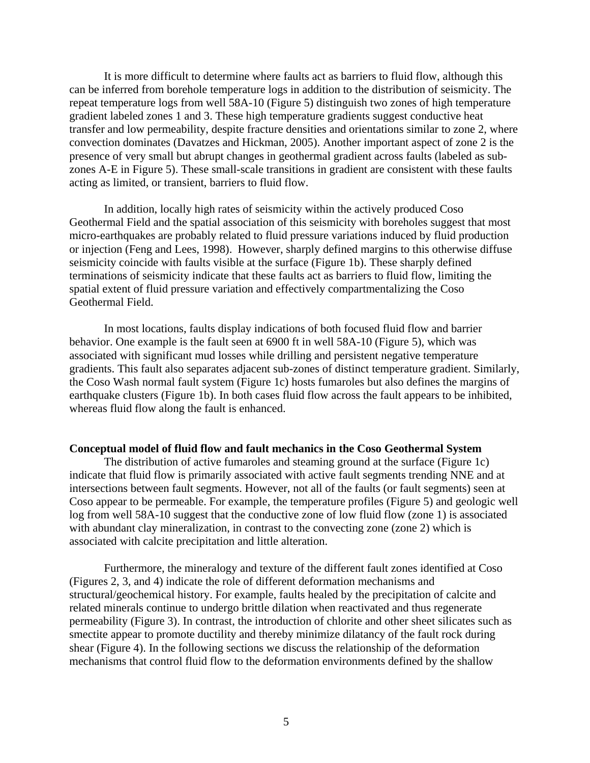It is more difficult to determine where faults act as barriers to fluid flow, although this can be inferred from borehole temperature logs in addition to the distribution of seismicity. The repeat temperature logs from well 58A-10 (Figure 5) distinguish two zones of high temperature gradient labeled zones 1 and 3. These high temperature gradients suggest conductive heat transfer and low permeability, despite fracture densities and orientations similar to zone 2, where convection dominates (Davatzes and Hickman, 2005). Another important aspect of zone 2 is the presence of very small but abrupt changes in geothermal gradient across faults (labeled as subzones A-E in Figure 5). These small-scale transitions in gradient are consistent with these faults acting as limited, or transient, barriers to fluid flow.

In addition, locally high rates of seismicity within the actively produced Coso Geothermal Field and the spatial association of this seismicity with boreholes suggest that most micro-earthquakes are probably related to fluid pressure variations induced by fluid production or injection (Feng and Lees, 1998).However, sharply defined margins to this otherwise diffuse seismicity coincide with faults visible at the surface (Figure 1b). These sharply defined terminations of seismicity indicate that these faults act as barriers to fluid flow, limiting the spatial extent of fluid pressure variation and effectively compartmentalizing the Coso Geothermal Field.

In most locations, faults display indications of both focused fluid flow and barrier behavior. One example is the fault seen at 6900 ft in well 58A-10 (Figure 5), which was associated with significant mud losses while drilling and persistent negative temperature gradients. This fault also separates adjacent sub-zones of distinct temperature gradient. Similarly, the Coso Wash normal fault system (Figure 1c) hosts fumaroles but also defines the margins of earthquake clusters (Figure 1b). In both cases fluid flow across the fault appears to be inhibited, whereas fluid flow along the fault is enhanced.

#### **Conceptual model of fluid flow and fault mechanics in the Coso Geothermal System**

The distribution of active fumaroles and steaming ground at the surface (Figure 1c) indicate that fluid flow is primarily associated with active fault segments trending NNE and at intersections between fault segments. However, not all of the faults (or fault segments) seen at Coso appear to be permeable. For example, the temperature profiles (Figure 5) and geologic well log from well 58A-10 suggest that the conductive zone of low fluid flow (zone 1) is associated with abundant clay mineralization, in contrast to the convecting zone (zone 2) which is associated with calcite precipitation and little alteration.

Furthermore, the mineralogy and texture of the different fault zones identified at Coso (Figures 2, 3, and 4) indicate the role of different deformation mechanisms and structural/geochemical history. For example, faults healed by the precipitation of calcite and related minerals continue to undergo brittle dilation when reactivated and thus regenerate permeability (Figure 3). In contrast, the introduction of chlorite and other sheet silicates such as smectite appear to promote ductility and thereby minimize dilatancy of the fault rock during shear (Figure 4). In the following sections we discuss the relationship of the deformation mechanisms that control fluid flow to the deformation environments defined by the shallow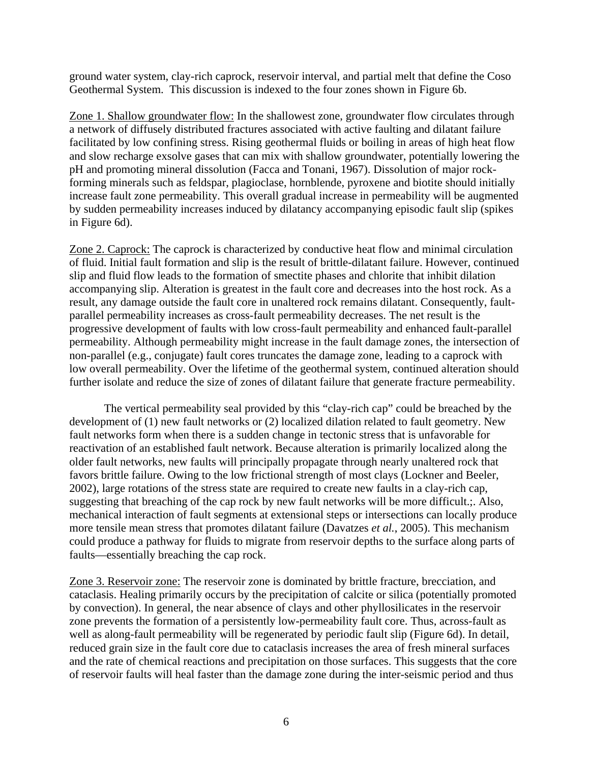ground water system, clay-rich caprock, reservoir interval, and partial melt that define the Coso Geothermal System. This discussion is indexed to the four zones shown in Figure 6b.

Zone 1. Shallow groundwater flow: In the shallowest zone, groundwater flow circulates through a network of diffusely distributed fractures associated with active faulting and dilatant failure facilitated by low confining stress. Rising geothermal fluids or boiling in areas of high heat flow and slow recharge exsolve gases that can mix with shallow groundwater, potentially lowering the pH and promoting mineral dissolution (Facca and Tonani, 1967). Dissolution of major rockforming minerals such as feldspar, plagioclase, hornblende, pyroxene and biotite should initially increase fault zone permeability. This overall gradual increase in permeability will be augmented by sudden permeability increases induced by dilatancy accompanying episodic fault slip (spikes in Figure 6d).

Zone 2. Caprock: The caprock is characterized by conductive heat flow and minimal circulation of fluid. Initial fault formation and slip is the result of brittle-dilatant failure. However, continued slip and fluid flow leads to the formation of smectite phases and chlorite that inhibit dilation accompanying slip. Alteration is greatest in the fault core and decreases into the host rock. As a result, any damage outside the fault core in unaltered rock remains dilatant. Consequently, faultparallel permeability increases as cross-fault permeability decreases. The net result is the progressive development of faults with low cross-fault permeability and enhanced fault-parallel permeability. Although permeability might increase in the fault damage zones, the intersection of non-parallel (e.g., conjugate) fault cores truncates the damage zone, leading to a caprock with low overall permeability. Over the lifetime of the geothermal system, continued alteration should further isolate and reduce the size of zones of dilatant failure that generate fracture permeability.

The vertical permeability seal provided by this "clay-rich cap" could be breached by the development of (1) new fault networks or (2) localized dilation related to fault geometry. New fault networks form when there is a sudden change in tectonic stress that is unfavorable for reactivation of an established fault network. Because alteration is primarily localized along the older fault networks, new faults will principally propagate through nearly unaltered rock that favors brittle failure. Owing to the low frictional strength of most clays (Lockner and Beeler, 2002), large rotations of the stress state are required to create new faults in a clay-rich cap, suggesting that breaching of the cap rock by new fault networks will be more difficult.;. Also, mechanical interaction of fault segments at extensional steps or intersections can locally produce more tensile mean stress that promotes dilatant failure (Davatzes *et al.*, 2005). This mechanism could produce a pathway for fluids to migrate from reservoir depths to the surface along parts of faults—essentially breaching the cap rock.

Zone 3. Reservoir zone: The reservoir zone is dominated by brittle fracture, brecciation, and cataclasis. Healing primarily occurs by the precipitation of calcite or silica (potentially promoted by convection). In general, the near absence of clays and other phyllosilicates in the reservoir zone prevents the formation of a persistently low-permeability fault core. Thus, across-fault as well as along-fault permeability will be regenerated by periodic fault slip (Figure 6d). In detail, reduced grain size in the fault core due to cataclasis increases the area of fresh mineral surfaces and the rate of chemical reactions and precipitation on those surfaces. This suggests that the core of reservoir faults will heal faster than the damage zone during the inter-seismic period and thus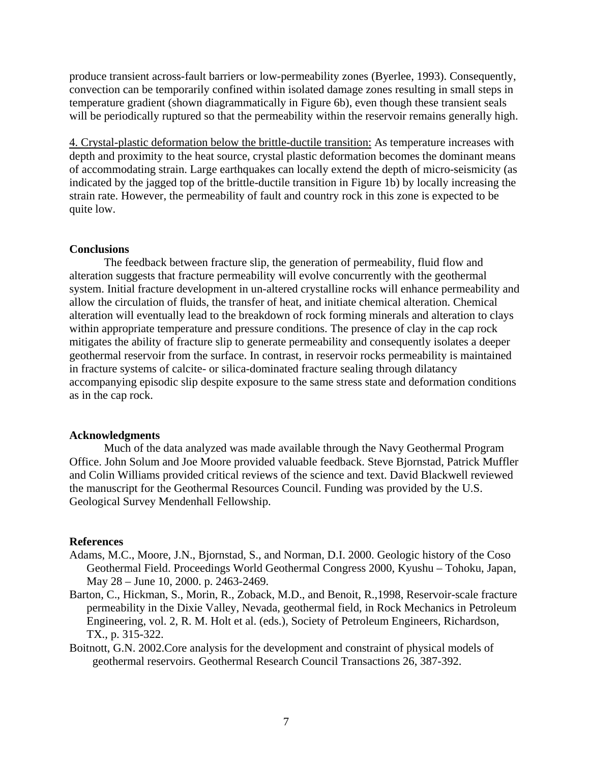produce transient across-fault barriers or low-permeability zones (Byerlee, 1993). Consequently, convection can be temporarily confined within isolated damage zones resulting in small steps in temperature gradient (shown diagrammatically in Figure 6b), even though these transient seals will be periodically ruptured so that the permeability within the reservoir remains generally high.

4. Crystal-plastic deformation below the brittle-ductile transition: As temperature increases with depth and proximity to the heat source, crystal plastic deformation becomes the dominant means of accommodating strain. Large earthquakes can locally extend the depth of micro-seismicity (as indicated by the jagged top of the brittle-ductile transition in Figure 1b) by locally increasing the strain rate. However, the permeability of fault and country rock in this zone is expected to be quite low.

#### **Conclusions**

The feedback between fracture slip, the generation of permeability, fluid flow and alteration suggests that fracture permeability will evolve concurrently with the geothermal system. Initial fracture development in un-altered crystalline rocks will enhance permeability and allow the circulation of fluids, the transfer of heat, and initiate chemical alteration. Chemical alteration will eventually lead to the breakdown of rock forming minerals and alteration to clays within appropriate temperature and pressure conditions. The presence of clay in the cap rock mitigates the ability of fracture slip to generate permeability and consequently isolates a deeper geothermal reservoir from the surface. In contrast, in reservoir rocks permeability is maintained in fracture systems of calcite- or silica-dominated fracture sealing through dilatancy accompanying episodic slip despite exposure to the same stress state and deformation conditions as in the cap rock.

#### **Acknowledgments**

Much of the data analyzed was made available through the Navy Geothermal Program Office. John Solum and Joe Moore provided valuable feedback. Steve Bjornstad, Patrick Muffler and Colin Williams provided critical reviews of the science and text. David Blackwell reviewed the manuscript for the Geothermal Resources Council. Funding was provided by the U.S. Geological Survey Mendenhall Fellowship.

#### **References**

- Adams, M.C., Moore, J.N., Bjornstad, S., and Norman, D.I. 2000. Geologic history of the Coso Geothermal Field. Proceedings World Geothermal Congress 2000, Kyushu – Tohoku, Japan, May 28 – June 10, 2000. p. 2463-2469.
- Barton, C., Hickman, S., Morin, R., Zoback, M.D., and Benoit, R.,1998, Reservoir-scale fracture permeability in the Dixie Valley, Nevada, geothermal field, in Rock Mechanics in Petroleum Engineering, vol. 2, R. M. Holt et al. (eds.), Society of Petroleum Engineers, Richardson, TX., p. 315-322.
- Boitnott, G.N. 2002.Core analysis for the development and constraint of physical models of geothermal reservoirs. Geothermal Research Council Transactions 26, 387-392.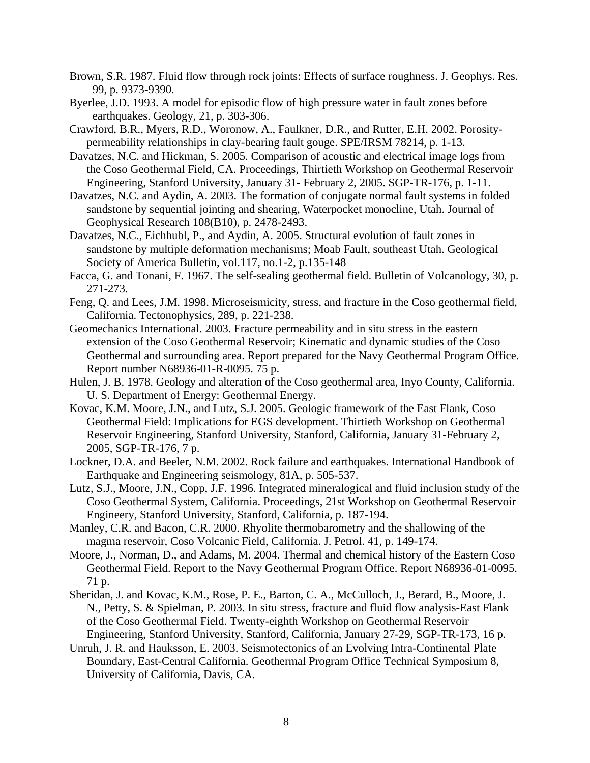- Brown, S.R. 1987. Fluid flow through rock joints: Effects of surface roughness. J. Geophys. Res. 99, p. 9373-9390.
- Byerlee, J.D. 1993. A model for episodic flow of high pressure water in fault zones before earthquakes. Geology, 21, p. 303-306.
- Crawford, B.R., Myers, R.D., Woronow, A., Faulkner, D.R., and Rutter, E.H. 2002. Porositypermeability relationships in clay-bearing fault gouge. SPE/IRSM 78214, p. 1-13.
- Davatzes, N.C. and Hickman, S. 2005. Comparison of acoustic and electrical image logs from the Coso Geothermal Field, CA. Proceedings, Thirtieth Workshop on Geothermal Reservoir Engineering, Stanford University, January 31- February 2, 2005. SGP-TR-176, p. 1-11.
- Davatzes, N.C. and Aydin, A. 2003. The formation of conjugate normal fault systems in folded sandstone by sequential jointing and shearing, Waterpocket monocline, Utah. Journal of Geophysical Research 108(B10), p. 2478-2493.
- Davatzes, N.C., Eichhubl, P., and Aydin, A. 2005. Structural evolution of fault zones in sandstone by multiple deformation mechanisms; Moab Fault, southeast Utah. Geological Society of America Bulletin, vol.117, no.1-2, p.135-148
- Facca, G. and Tonani, F. 1967. The self-sealing geothermal field. Bulletin of Volcanology, 30, p. 271-273.
- Feng, Q. and Lees, J.M. 1998. Microseismicity, stress, and fracture in the Coso geothermal field, California. Tectonophysics, 289, p. 221-238.
- Geomechanics International. 2003. Fracture permeability and in situ stress in the eastern extension of the Coso Geothermal Reservoir; Kinematic and dynamic studies of the Coso Geothermal and surrounding area. Report prepared for the Navy Geothermal Program Office. Report number N68936-01-R-0095. 75 p.
- Hulen, J. B. 1978. Geology and alteration of the Coso geothermal area, Inyo County, California. U. S. Department of Energy: Geothermal Energy.
- Kovac, K.M. Moore, J.N., and Lutz, S.J. 2005. Geologic framework of the East Flank, Coso Geothermal Field: Implications for EGS development. Thirtieth Workshop on Geothermal Reservoir Engineering, Stanford University, Stanford, California, January 31-February 2, 2005, SGP-TR-176, 7 p.
- Lockner, D.A. and Beeler, N.M. 2002. Rock failure and earthquakes. International Handbook of Earthquake and Engineering seismology, 81A, p. 505-537.
- Lutz, S.J., Moore, J.N., Copp, J.F. 1996. Integrated mineralogical and fluid inclusion study of the Coso Geothermal System, California. Proceedings, 21st Workshop on Geothermal Reservoir Engineery, Stanford University, Stanford, California, p. 187-194.
- Manley, C.R. and Bacon, C.R. 2000. Rhyolite thermobarometry and the shallowing of the magma reservoir, Coso Volcanic Field, California. J. Petrol. 41, p. 149-174.
- Moore, J., Norman, D., and Adams, M. 2004. Thermal and chemical history of the Eastern Coso Geothermal Field. Report to the Navy Geothermal Program Office. Report N68936-01-0095. 71 p.
- Sheridan, J. and Kovac, K.M., Rose, P. E., Barton, C. A., McCulloch, J., Berard, B., Moore, J. N., Petty, S. & Spielman, P. 2003. In situ stress, fracture and fluid flow analysis-East Flank of the Coso Geothermal Field. Twenty-eighth Workshop on Geothermal Reservoir Engineering, Stanford University, Stanford, California, January 27-29, SGP-TR-173, 16 p.
- Unruh, J. R. and Hauksson, E. 2003. Seismotectonics of an Evolving Intra-Continental Plate Boundary, East-Central California. Geothermal Program Office Technical Symposium 8, University of California, Davis, CA.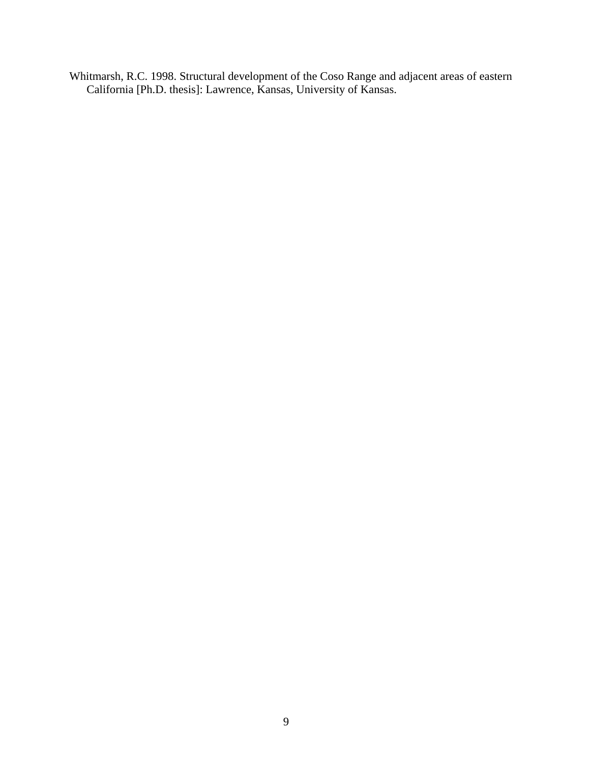Whitmarsh, R.C. 1998. Structural development of the Coso Range and adjacent areas of eastern California [Ph.D. thesis]: Lawrence, Kansas, University of Kansas.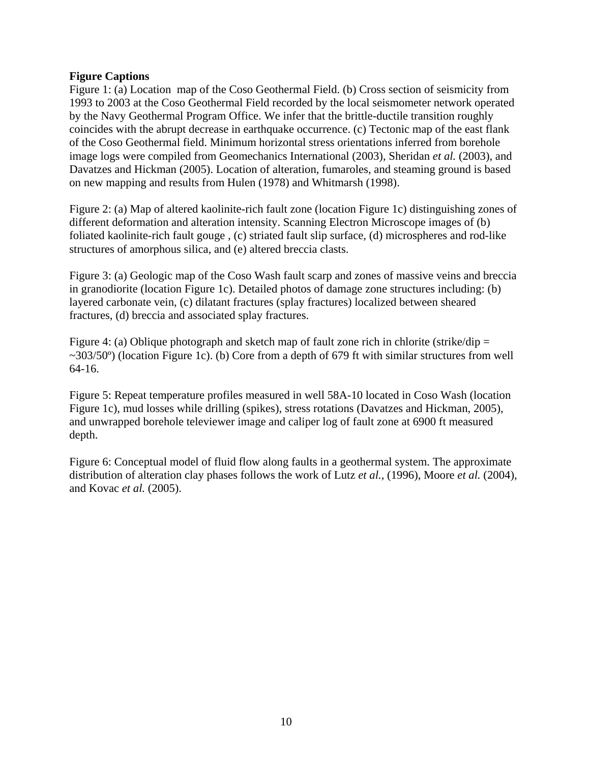# **Figure Captions**

Figure 1: (a) Location map of the Coso Geothermal Field. (b) Cross section of seismicity from 1993 to 2003 at the Coso Geothermal Field recorded by the local seismometer network operated by the Navy Geothermal Program Office. We infer that the brittle-ductile transition roughly coincides with the abrupt decrease in earthquake occurrence. (c) Tectonic map of the east flank of the Coso Geothermal field. Minimum horizontal stress orientations inferred from borehole image logs were compiled from Geomechanics International (2003), Sheridan *et al.* (2003), and Davatzes and Hickman (2005). Location of alteration, fumaroles, and steaming ground is based on new mapping and results from Hulen (1978) and Whitmarsh (1998).

Figure 2: (a) Map of altered kaolinite-rich fault zone (location Figure 1c) distinguishing zones of different deformation and alteration intensity. Scanning Electron Microscope images of (b) foliated kaolinite-rich fault gouge , (c) striated fault slip surface, (d) microspheres and rod-like structures of amorphous silica, and (e) altered breccia clasts.

Figure 3: (a) Geologic map of the Coso Wash fault scarp and zones of massive veins and breccia in granodiorite (location Figure 1c). Detailed photos of damage zone structures including: (b) layered carbonate vein, (c) dilatant fractures (splay fractures) localized between sheared fractures, (d) breccia and associated splay fractures.

Figure 4: (a) Oblique photograph and sketch map of fault zone rich in chlorite (strike/dip  $=$  $\sim$ 303/50<sup>o</sup>) (location Figure 1c). (b) Core from a depth of 679 ft with similar structures from well 64-16.

Figure 5: Repeat temperature profiles measured in well 58A-10 located in Coso Wash (location Figure 1c), mud losses while drilling (spikes), stress rotations (Davatzes and Hickman, 2005), and unwrapped borehole televiewer image and caliper log of fault zone at 6900 ft measured depth.

Figure 6: Conceptual model of fluid flow along faults in a geothermal system. The approximate distribution of alteration clay phases follows the work of Lutz *et al.*, (1996), Moore *et al.* (2004), and Kovac *et al.* (2005).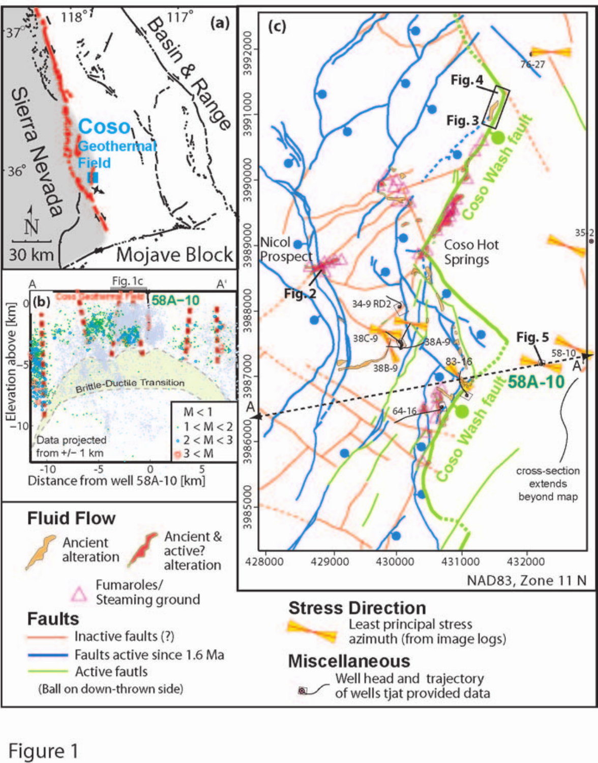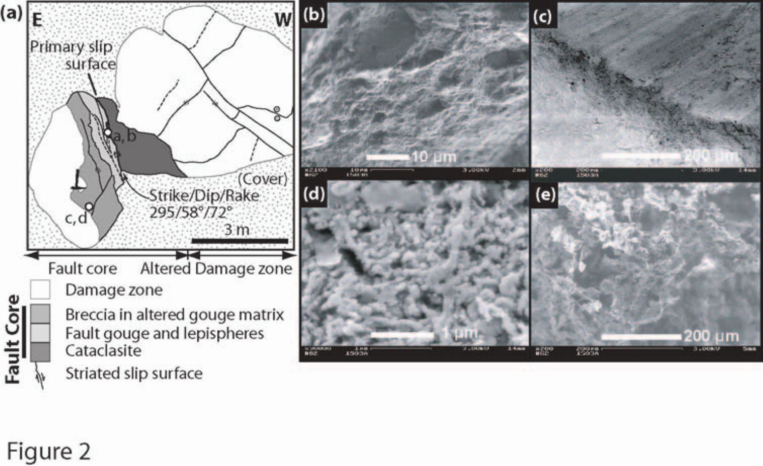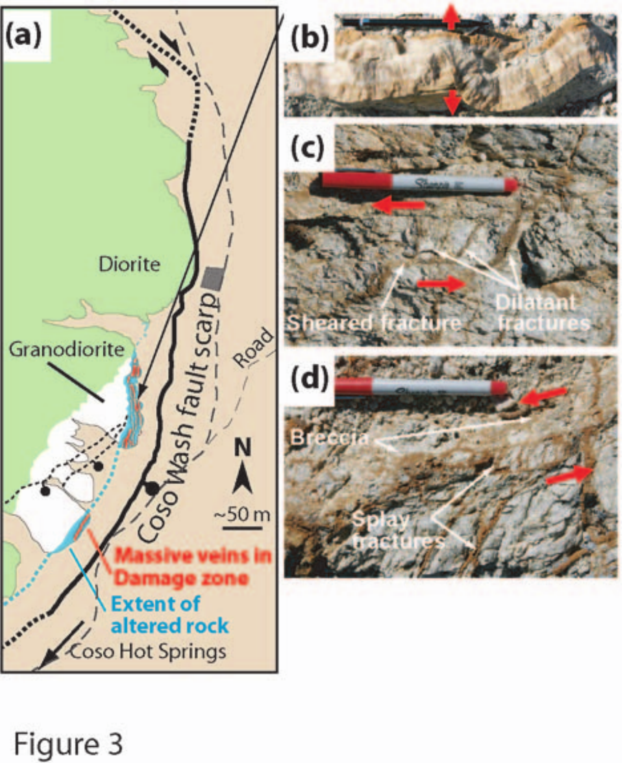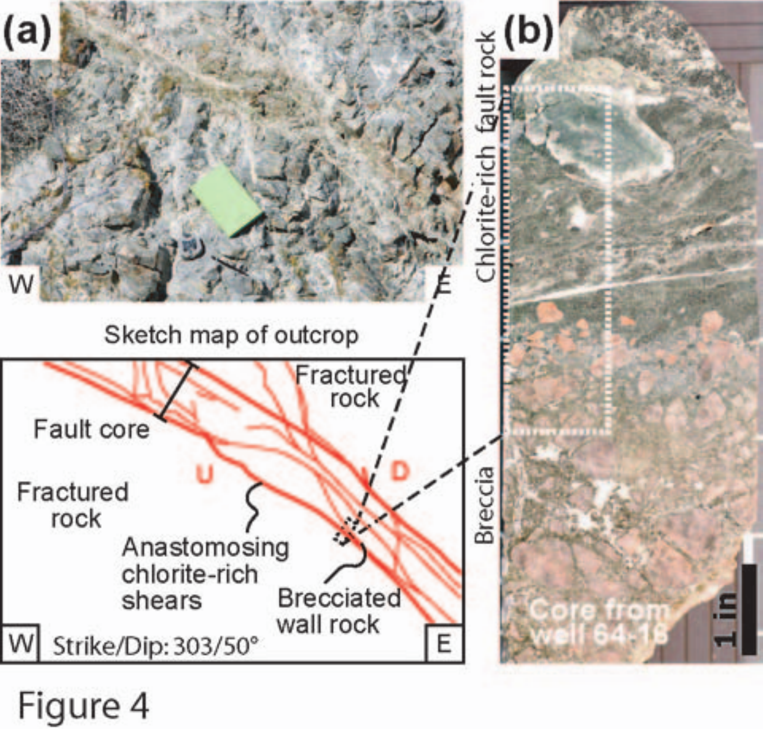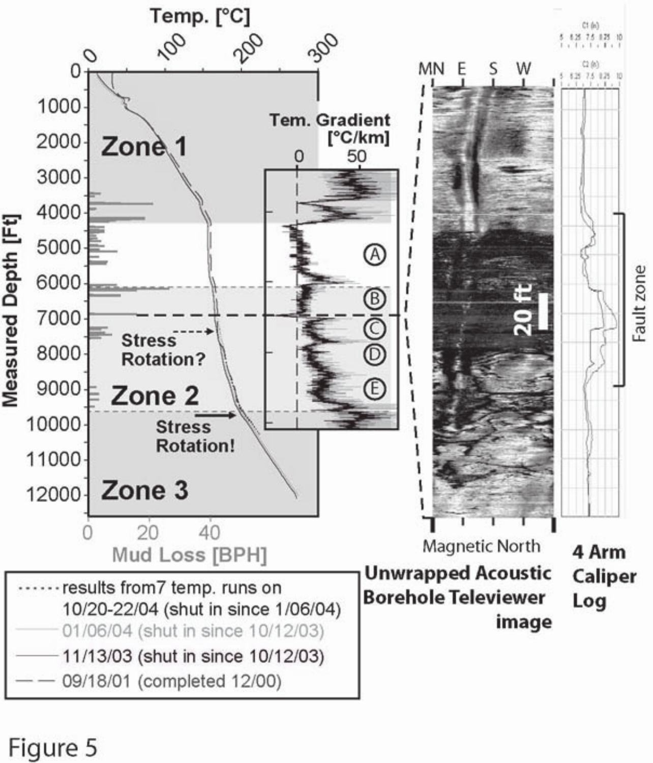